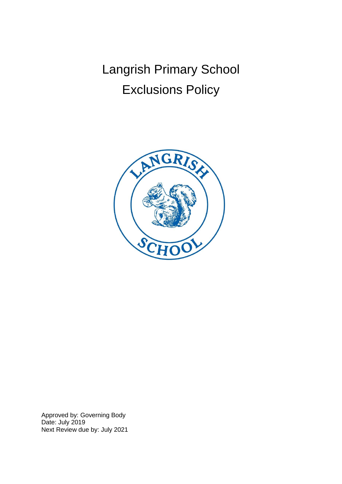Langrish Primary School Exclusions Policy



Approved by: Governing Body Date: July 2019 Next Review due by: July 2021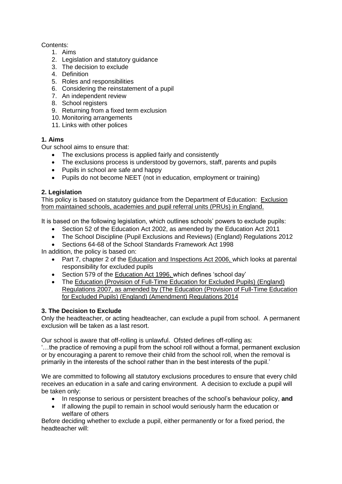# Contents:

- 1. Aims
- 2. Legislation and statutory guidance
- 3. The decision to exclude
- 4. Definition
- 5. Roles and responsibilities
- 6. Considering the reinstatement of a pupil
- 7. An independent review
- 8. School registers
- 9. Returning from a fixed term exclusion
- 10. Monitoring arrangements
- 11. Links with other polices

## **1. Aims**

Our school aims to ensure that:

- The exclusions process is applied fairly and consistently
- The exclusions process is understood by governors, staff, parents and pupils
- Pupils in school are safe and happy
- Pupils do not become NEET (not in education, employment or training)

## **2. Legislation**

This policy is based on statutory guidance from the Department of Education: Exclusion from maintained schools, academies and pupil referral units (PRUs) in England.

It is based on the following legislation, which outlines schools' powers to exclude pupils:

- Section 52 of the Education Act 2002, as amended by the Education Act 2011
- The School Discipline (Pupil Exclusions and Reviews) (England) Regulations 2012
- Sections 64-68 of the School Standards Framework Act 1998

In addition, the policy is based on:

- Part 7, chapter 2 of the Education and Inspections Act 2006, which looks at parental responsibility for excluded pupils
- Section 579 of the Education Act 1996, which defines 'school day'
- The Education (Provision of Full-Time Education for Excluded Pupils) (England) Regulations 2007, as amended by (The Education (Provision of Full-Time Education for Excluded Pupils) (England) (Amendment) Regulations 2014

# **3. The Decision to Exclude**

Only the headteacher, or acting headteacher, can exclude a pupil from school. A permanent exclusion will be taken as a last resort.

Our school is aware that off-rolling is unlawful. Ofsted defines off-rolling as:

'…the practice of removing a pupil from the school roll without a formal, permanent exclusion or by encouraging a parent to remove their child from the school roll, when the removal is primarily in the interests of the school rather than in the best interests of the pupil.'

We are committed to following all statutory exclusions procedures to ensure that every child receives an education in a safe and caring environment. A decision to exclude a pupil will be taken only:

- In response to serious or persistent breaches of the school's behaviour policy, and
- If allowing the pupil to remain in school would seriously harm the education or welfare of others

Before deciding whether to exclude a pupil, either permanently or for a fixed period, the headteacher will: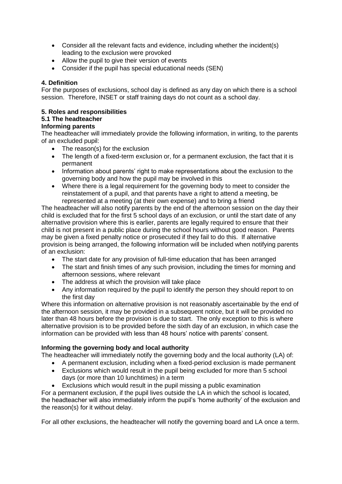- Consider all the relevant facts and evidence, including whether the incident(s) leading to the exclusion were provoked
- Allow the pupil to give their version of events
- Consider if the pupil has special educational needs (SEN)

## **4. Definition**

For the purposes of exclusions, school day is defined as any day on which there is a school session. Therefore, INSET or staff training days do not count as a school day.

## **5. Roles and responsibilities**

### **5.1 The headteacher**

### **Informing parents**

The headteacher will immediately provide the following information, in writing, to the parents of an excluded pupil:

- The reason(s) for the exclusion
- The length of a fixed-term exclusion or, for a permanent exclusion, the fact that it is permanent
- Information about parents' right to make representations about the exclusion to the governing body and how the pupil may be involved in this
- Where there is a legal requirement for the governing body to meet to consider the reinstatement of a pupil, and that parents have a right to attend a meeting, be represented at a meeting (at their own expense) and to bring a friend

The headteacher will also notify parents by the end of the afternoon session on the day their child is excluded that for the first 5 school days of an exclusion, or until the start date of any alternative provision where this is earlier, parents are legally required to ensure that their child is not present in a public place during the school hours without good reason. Parents may be given a fixed penalty notice or prosecuted if they fail to do this. If alternative provision is being arranged, the following information will be included when notifying parents of an exclusion:

- The start date for any provision of full-time education that has been arranged
- The start and finish times of any such provision, including the times for morning and afternoon sessions, where relevant
- The address at which the provision will take place
- Any information required by the pupil to identify the person they should report to on the first day

Where this information on alternative provision is not reasonably ascertainable by the end of the afternoon session, it may be provided in a subsequent notice, but it will be provided no later than 48 hours before the provision is due to start. The only exception to this is where alternative provision is to be provided before the sixth day of an exclusion, in which case the information can be provided with less than 48 hours' notice with parents' consent.

## **Informing the governing body and local authority**

The headteacher will immediately notify the governing body and the local authority (LA) of:

- A permanent exclusion, including when a fixed-period exclusion is made permanent
- Exclusions which would result in the pupil being excluded for more than 5 school days (or more than 10 lunchtimes) in a term
- Exclusions which would result in the pupil missing a public examination

For a permanent exclusion, if the pupil lives outside the LA in which the school is located, the headteacher will also immediately inform the pupil's 'home authority' of the exclusion and the reason(s) for it without delay.

For all other exclusions, the headteacher will notify the governing board and LA once a term.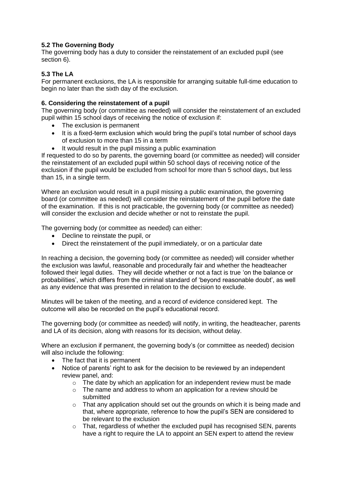### **5.2 The Governing Body**

The governing body has a duty to consider the reinstatement of an excluded pupil (see section 6).

#### **5.3 The LA**

For permanent exclusions, the LA is responsible for arranging suitable full-time education to begin no later than the sixth day of the exclusion.

#### **6. Considering the reinstatement of a pupil**

The governing body (or committee as needed) will consider the reinstatement of an excluded pupil within 15 school days of receiving the notice of exclusion if:

- The exclusion is permanent
- It is a fixed-term exclusion which would bring the pupil's total number of school days of exclusion to more than 15 in a term
- It would result in the pupil missing a public examination

If requested to do so by parents, the governing board (or committee as needed) will consider the reinstatement of an excluded pupil within 50 school days of receiving notice of the exclusion if the pupil would be excluded from school for more than 5 school days, but less than 15, in a single term.

Where an exclusion would result in a pupil missing a public examination, the governing board (or committee as needed) will consider the reinstatement of the pupil before the date of the examination. If this is not practicable, the governing body (or committee as needed) will consider the exclusion and decide whether or not to reinstate the pupil.

The governing body (or committee as needed) can either:

- Decline to reinstate the pupil, or
- Direct the reinstatement of the pupil immediately, or on a particular date

In reaching a decision, the governing body (or committee as needed) will consider whether the exclusion was lawful, reasonable and procedurally fair and whether the headteacher followed their legal duties. They will decide whether or not a fact is true 'on the balance or probabilities', which differs from the criminal standard of 'beyond reasonable doubt', as well as any evidence that was presented in relation to the decision to exclude.

Minutes will be taken of the meeting, and a record of evidence considered kept. The outcome will also be recorded on the pupil's educational record.

The governing body (or committee as needed) will notify, in writing, the headteacher, parents and LA of its decision, along with reasons for its decision, without delay.

Where an exclusion if permanent, the governing body's (or committee as needed) decision will also include the following:

- The fact that it is permanent
- Notice of parents' right to ask for the decision to be reviewed by an independent review panel, and:
	- $\circ$  The date by which an application for an independent review must be made
	- o The name and address to whom an application for a review should be submitted
	- o That any application should set out the grounds on which it is being made and that, where appropriate, reference to how the pupil's SEN are considered to be relevant to the exclusion
	- $\circ$  That, regardless of whether the excluded pupil has recognised SEN, parents have a right to require the LA to appoint an SEN expert to attend the review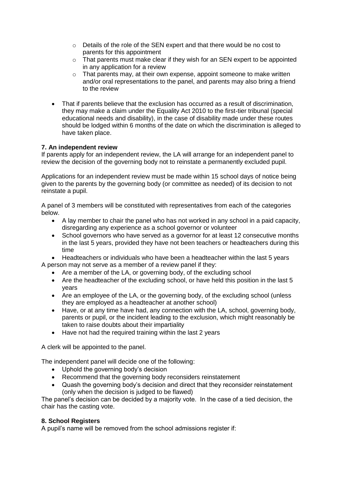- $\circ$  Details of the role of the SEN expert and that there would be no cost to parents for this appointment
- $\circ$  That parents must make clear if they wish for an SEN expert to be appointed in any application for a review
- o That parents may, at their own expense, appoint someone to make written and/or oral representations to the panel, and parents may also bring a friend to the review
- That if parents believe that the exclusion has occurred as a result of discrimination, they may make a claim under the Equality Act 2010 to the first-tier tribunal (special educational needs and disability), in the case of disability made under these routes should be lodged within 6 months of the date on which the discrimination is alleged to have taken place.

### **7. An independent review**

If parents apply for an independent review, the LA will arrange for an independent panel to review the decision of the governing body not to reinstate a permanently excluded pupil.

Applications for an independent review must be made within 15 school days of notice being given to the parents by the governing body (or committee as needed) of its decision to not reinstate a pupil.

A panel of 3 members will be constituted with representatives from each of the categories below.

- A lay member to chair the panel who has not worked in any school in a paid capacity, disregarding any experience as a school governor or volunteer
- School governors who have served as a governor for at least 12 consecutive months in the last 5 years, provided they have not been teachers or headteachers during this time

 Headteachers or individuals who have been a headteacher within the last 5 years A person may not serve as a member of a review panel if they:

- Are a member of the LA, or governing body, of the excluding school
- Are the headteacher of the excluding school, or have held this position in the last 5 years
- Are an employee of the LA, or the governing body, of the excluding school (unless they are employed as a headteacher at another school)
- Have, or at any time have had, any connection with the LA, school, governing body, parents or pupil, or the incident leading to the exclusion, which might reasonably be taken to raise doubts about their impartiality
- Have not had the required training within the last 2 years

A clerk will be appointed to the panel.

The independent panel will decide one of the following:

- Uphold the governing body's decision
- Recommend that the governing body reconsiders reinstatement
- Quash the governing body's decision and direct that they reconsider reinstatement (only when the decision is judged to be flawed)

The panel's decision can be decided by a majority vote. In the case of a tied decision, the chair has the casting vote.

#### **8. School Registers**

A pupil's name will be removed from the school admissions register if: